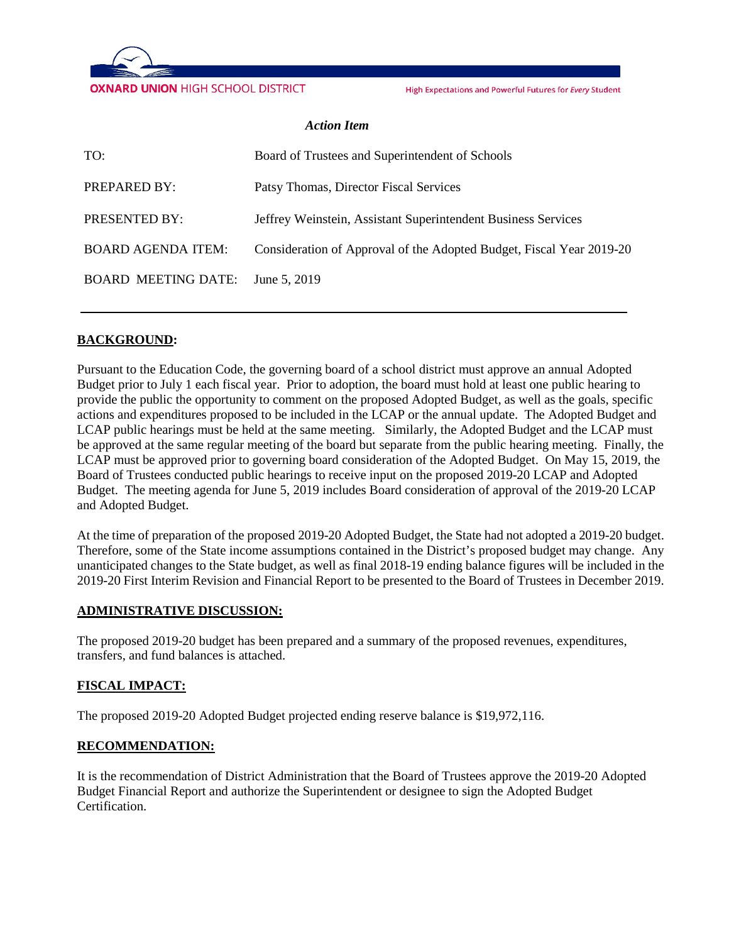

High Expectations and Powerful Futures for Every Student

#### *Action Item*

| TO:                              | Board of Trustees and Superintendent of Schools                      |
|----------------------------------|----------------------------------------------------------------------|
| PREPARED BY:                     | Patsy Thomas, Director Fiscal Services                               |
| PRESENTED BY:                    | Jeffrey Weinstein, Assistant Superintendent Business Services        |
| <b>BOARD AGENDA ITEM:</b>        | Consideration of Approval of the Adopted Budget, Fiscal Year 2019-20 |
| BOARD MEETING DATE: June 5, 2019 |                                                                      |

### **BACKGROUND:**

Pursuant to the Education Code, the governing board of a school district must approve an annual Adopted Budget prior to July 1 each fiscal year. Prior to adoption, the board must hold at least one public hearing to provide the public the opportunity to comment on the proposed Adopted Budget, as well as the goals, specific actions and expenditures proposed to be included in the LCAP or the annual update. The Adopted Budget and LCAP public hearings must be held at the same meeting. Similarly, the Adopted Budget and the LCAP must be approved at the same regular meeting of the board but separate from the public hearing meeting. Finally, the LCAP must be approved prior to governing board consideration of the Adopted Budget. On May 15, 2019, the Board of Trustees conducted public hearings to receive input on the proposed 2019-20 LCAP and Adopted Budget. The meeting agenda for June 5, 2019 includes Board consideration of approval of the 2019-20 LCAP and Adopted Budget.

At the time of preparation of the proposed 2019-20 Adopted Budget, the State had not adopted a 2019-20 budget. Therefore, some of the State income assumptions contained in the District's proposed budget may change. Any unanticipated changes to the State budget, as well as final 2018-19 ending balance figures will be included in the 2019-20 First Interim Revision and Financial Report to be presented to the Board of Trustees in December 2019.

#### **ADMINISTRATIVE DISCUSSION:**

The proposed 2019-20 budget has been prepared and a summary of the proposed revenues, expenditures, transfers, and fund balances is attached.

### **FISCAL IMPACT:**

The proposed 2019-20 Adopted Budget projected ending reserve balance is \$19,972,116.

#### **RECOMMENDATION:**

It is the recommendation of District Administration that the Board of Trustees approve the 2019-20 Adopted Budget Financial Report and authorize the Superintendent or designee to sign the Adopted Budget Certification.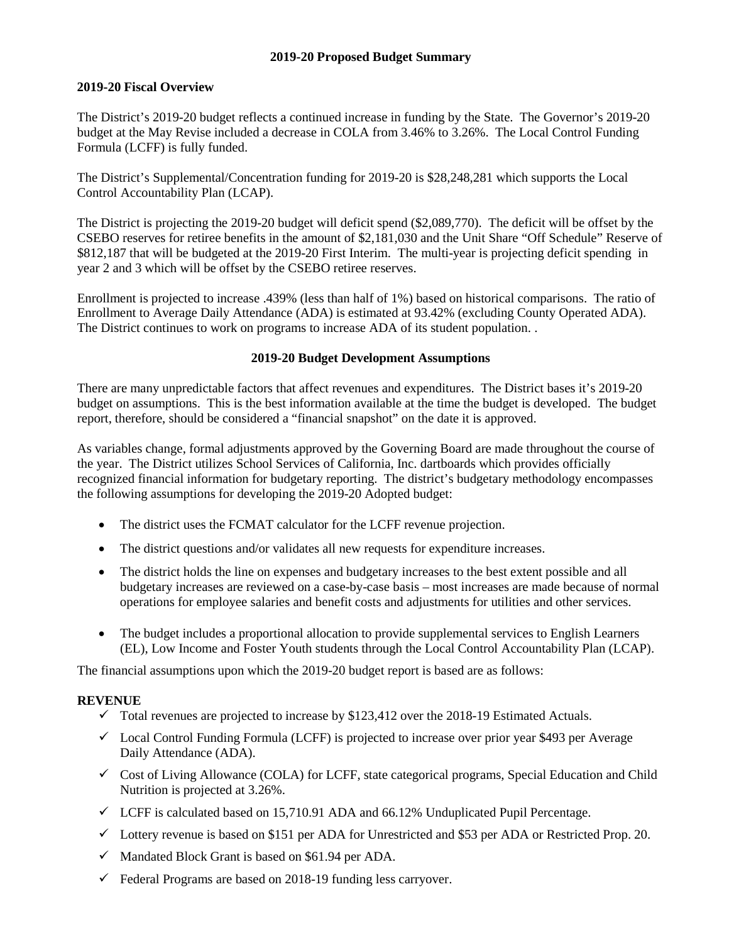### **2019-20 Proposed Budget Summary**

### **2019-20 Fiscal Overview**

The District's 2019-20 budget reflects a continued increase in funding by the State. The Governor's 2019-20 budget at the May Revise included a decrease in COLA from 3.46% to 3.26%. The Local Control Funding Formula (LCFF) is fully funded.

The District's Supplemental/Concentration funding for 2019-20 is \$28,248,281 which supports the Local Control Accountability Plan (LCAP).

The District is projecting the 2019-20 budget will deficit spend (\$2,089,770). The deficit will be offset by the CSEBO reserves for retiree benefits in the amount of \$2,181,030 and the Unit Share "Off Schedule" Reserve of \$812,187 that will be budgeted at the 2019-20 First Interim. The multi-year is projecting deficit spending in year 2 and 3 which will be offset by the CSEBO retiree reserves.

Enrollment is projected to increase .439% (less than half of 1%) based on historical comparisons. The ratio of Enrollment to Average Daily Attendance (ADA) is estimated at 93.42% (excluding County Operated ADA). The District continues to work on programs to increase ADA of its student population. .

### **2019-20 Budget Development Assumptions**

There are many unpredictable factors that affect revenues and expenditures. The District bases it's 2019-20 budget on assumptions. This is the best information available at the time the budget is developed. The budget report, therefore, should be considered a "financial snapshot" on the date it is approved.

As variables change, formal adjustments approved by the Governing Board are made throughout the course of the year. The District utilizes School Services of California, Inc. dartboards which provides officially recognized financial information for budgetary reporting. The district's budgetary methodology encompasses the following assumptions for developing the 2019-20 Adopted budget:

- The district uses the FCMAT calculator for the LCFF revenue projection.
- The district questions and/or validates all new requests for expenditure increases.
- The district holds the line on expenses and budgetary increases to the best extent possible and all budgetary increases are reviewed on a case-by-case basis – most increases are made because of normal operations for employee salaries and benefit costs and adjustments for utilities and other services.
- The budget includes a proportional allocation to provide supplemental services to English Learners (EL), Low Income and Foster Youth students through the Local Control Accountability Plan (LCAP).

The financial assumptions upon which the 2019-20 budget report is based are as follows:

# **REVENUE**

- $\checkmark$  Total revenues are projected to increase by \$123,412 over the 2018-19 Estimated Actuals.
- $\checkmark$  Local Control Funding Formula (LCFF) is projected to increase over prior year \$493 per Average Daily Attendance (ADA).
- $\checkmark$  Cost of Living Allowance (COLA) for LCFF, state categorical programs, Special Education and Child Nutrition is projected at 3.26%.
- $\checkmark$  LCFF is calculated based on 15,710.91 ADA and 66.12% Unduplicated Pupil Percentage.
- $\checkmark$  Lottery revenue is based on \$151 per ADA for Unrestricted and \$53 per ADA or Restricted Prop. 20.
- $\checkmark$  Mandated Block Grant is based on \$61.94 per ADA.
- $\checkmark$  Federal Programs are based on 2018-19 funding less carryover.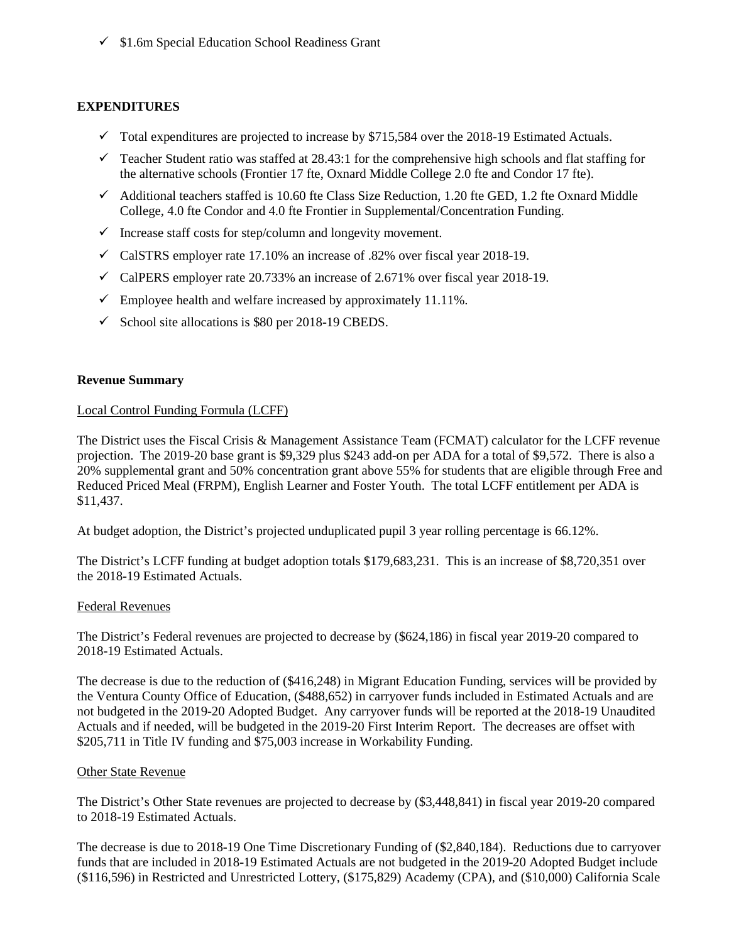$\checkmark$  \$1.6m Special Education School Readiness Grant

### **EXPENDITURES**

- $\checkmark$  Total expenditures are projected to increase by \$715,584 over the 2018-19 Estimated Actuals.
- $\checkmark$  Teacher Student ratio was staffed at 28.43:1 for the comprehensive high schools and flat staffing for the alternative schools (Frontier 17 fte, Oxnard Middle College 2.0 fte and Condor 17 fte).
- $\checkmark$  Additional teachers staffed is 10.60 fte Class Size Reduction, 1.20 fte GED, 1.2 fte Oxnard Middle College, 4.0 fte Condor and 4.0 fte Frontier in Supplemental/Concentration Funding.
- $\checkmark$  Increase staff costs for step/column and longevity movement.
- $\checkmark$  CalSTRS employer rate 17.10% an increase of .82% over fiscal year 2018-19.
- $\checkmark$  CalPERS employer rate 20.733% an increase of 2.671% over fiscal year 2018-19.
- $\checkmark$  Employee health and welfare increased by approximately 11.11%.
- $\checkmark$  School site allocations is \$80 per 2018-19 CBEDS.

### **Revenue Summary**

### Local Control Funding Formula (LCFF)

The District uses the Fiscal Crisis & Management Assistance Team (FCMAT) calculator for the LCFF revenue projection. The 2019-20 base grant is \$9,329 plus \$243 add-on per ADA for a total of \$9,572. There is also a 20% supplemental grant and 50% concentration grant above 55% for students that are eligible through Free and Reduced Priced Meal (FRPM), English Learner and Foster Youth. The total LCFF entitlement per ADA is \$11,437.

At budget adoption, the District's projected unduplicated pupil 3 year rolling percentage is 66.12%.

The District's LCFF funding at budget adoption totals \$179,683,231. This is an increase of \$8,720,351 over the 2018-19 Estimated Actuals.

### Federal Revenues

The District's Federal revenues are projected to decrease by (\$624,186) in fiscal year 2019-20 compared to 2018-19 Estimated Actuals.

The decrease is due to the reduction of (\$416,248) in Migrant Education Funding, services will be provided by the Ventura County Office of Education, (\$488,652) in carryover funds included in Estimated Actuals and are not budgeted in the 2019-20 Adopted Budget. Any carryover funds will be reported at the 2018-19 Unaudited Actuals and if needed, will be budgeted in the 2019-20 First Interim Report. The decreases are offset with \$205,711 in Title IV funding and \$75,003 increase in Workability Funding.

### Other State Revenue

The District's Other State revenues are projected to decrease by (\$3,448,841) in fiscal year 2019-20 compared to 2018-19 Estimated Actuals.

The decrease is due to 2018-19 One Time Discretionary Funding of (\$2,840,184). Reductions due to carryover funds that are included in 2018-19 Estimated Actuals are not budgeted in the 2019-20 Adopted Budget include (\$116,596) in Restricted and Unrestricted Lottery, (\$175,829) Academy (CPA), and (\$10,000) California Scale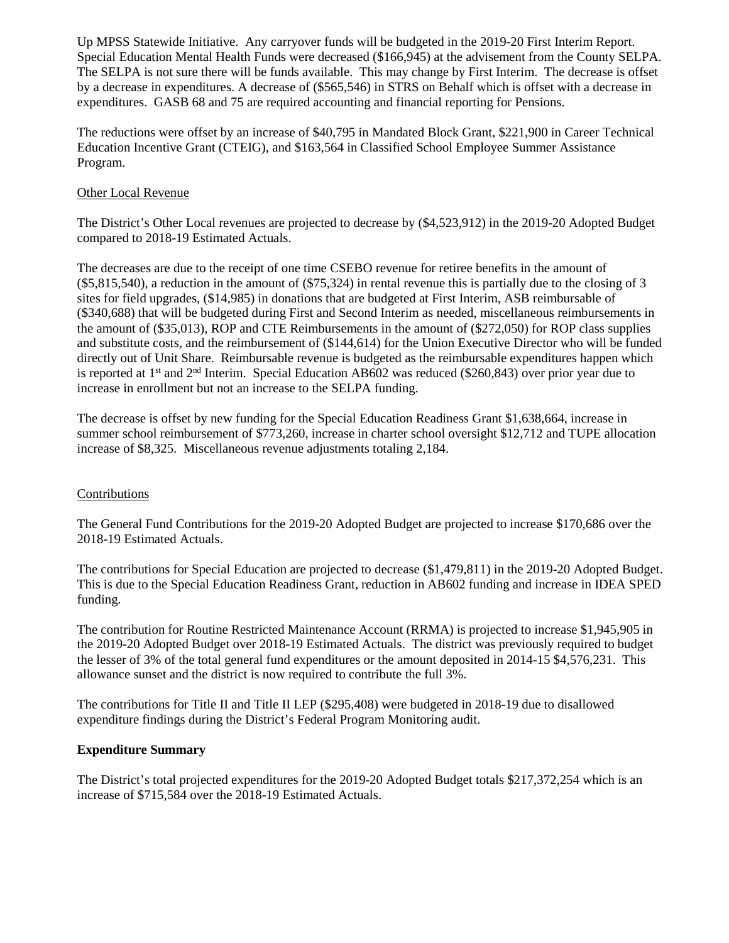Up MPSS Statewide Initiative. Any carryover funds will be budgeted in the 2019-20 First Interim Report. Special Education Mental Health Funds were decreased (\$166,945) at the advisement from the County SELPA. The SELPA is not sure there will be funds available. This may change by First Interim. The decrease is offset by a decrease in expenditures. A decrease of (\$565,546) in STRS on Behalf which is offset with a decrease in expenditures. GASB 68 and 75 are required accounting and financial reporting for Pensions.

The reductions were offset by an increase of \$40,795 in Mandated Block Grant, \$221,900 in Career Technical Education Incentive Grant (CTEIG), and \$163,564 in Classified School Employee Summer Assistance Program.

### Other Local Revenue

The District's Other Local revenues are projected to decrease by (\$4,523,912) in the 2019-20 Adopted Budget compared to 2018-19 Estimated Actuals.

The decreases are due to the receipt of one time CSEBO revenue for retiree benefits in the amount of (\$5,815,540), a reduction in the amount of (\$75,324) in rental revenue this is partially due to the closing of 3 sites for field upgrades, (\$14,985) in donations that are budgeted at First Interim, ASB reimbursable of (\$340,688) that will be budgeted during First and Second Interim as needed, miscellaneous reimbursements in the amount of (\$35,013), ROP and CTE Reimbursements in the amount of (\$272,050) for ROP class supplies and substitute costs, and the reimbursement of (\$144,614) for the Union Executive Director who will be funded directly out of Unit Share. Reimbursable revenue is budgeted as the reimbursable expenditures happen which is reported at 1st and 2nd Interim. Special Education AB602 was reduced (\$260,843) over prior year due to increase in enrollment but not an increase to the SELPA funding.

The decrease is offset by new funding for the Special Education Readiness Grant \$1,638,664, increase in summer school reimbursement of \$773,260, increase in charter school oversight \$12,712 and TUPE allocation increase of \$8,325. Miscellaneous revenue adjustments totaling 2,184.

### Contributions

The General Fund Contributions for the 2019-20 Adopted Budget are projected to increase \$170,686 over the 2018-19 Estimated Actuals.

The contributions for Special Education are projected to decrease (\$1,479,811) in the 2019-20 Adopted Budget. This is due to the Special Education Readiness Grant, reduction in AB602 funding and increase in IDEA SPED funding.

The contribution for Routine Restricted Maintenance Account (RRMA) is projected to increase \$1,945,905 in the 2019-20 Adopted Budget over 2018-19 Estimated Actuals. The district was previously required to budget the lesser of 3% of the total general fund expenditures or the amount deposited in 2014-15 \$4,576,231. This allowance sunset and the district is now required to contribute the full 3%.

The contributions for Title II and Title II LEP (\$295,408) were budgeted in 2018-19 due to disallowed expenditure findings during the District's Federal Program Monitoring audit.

### **Expenditure Summary**

The District's total projected expenditures for the 2019-20 Adopted Budget totals \$217,372,254 which is an increase of \$715,584 over the 2018-19 Estimated Actuals.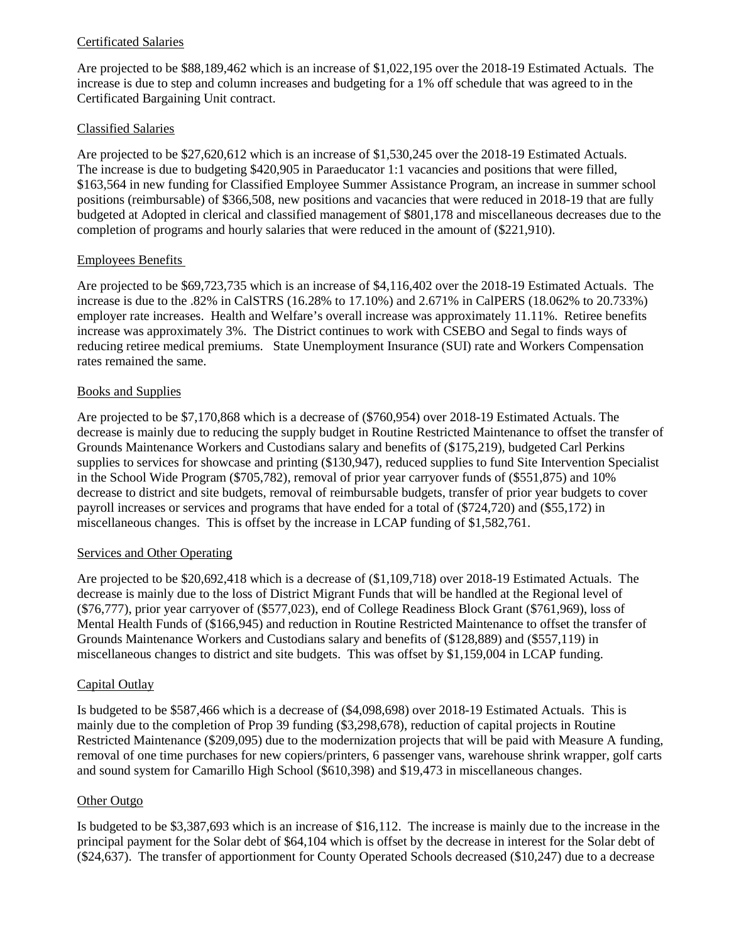## Certificated Salaries

Are projected to be \$88,189,462 which is an increase of \$1,022,195 over the 2018-19 Estimated Actuals. The increase is due to step and column increases and budgeting for a 1% off schedule that was agreed to in the Certificated Bargaining Unit contract.

### Classified Salaries

Are projected to be \$27,620,612 which is an increase of \$1,530,245 over the 2018-19 Estimated Actuals. The increase is due to budgeting \$420,905 in Paraeducator 1:1 vacancies and positions that were filled, \$163,564 in new funding for Classified Employee Summer Assistance Program, an increase in summer school positions (reimbursable) of \$366,508, new positions and vacancies that were reduced in 2018-19 that are fully budgeted at Adopted in clerical and classified management of \$801,178 and miscellaneous decreases due to the completion of programs and hourly salaries that were reduced in the amount of (\$221,910).

### Employees Benefits

Are projected to be \$69,723,735 which is an increase of \$4,116,402 over the 2018-19 Estimated Actuals. The increase is due to the .82% in CalSTRS (16.28% to 17.10%) and 2.671% in CalPERS (18.062% to 20.733%) employer rate increases. Health and Welfare's overall increase was approximately 11.11%. Retiree benefits increase was approximately 3%. The District continues to work with CSEBO and Segal to finds ways of reducing retiree medical premiums. State Unemployment Insurance (SUI) rate and Workers Compensation rates remained the same.

## Books and Supplies

Are projected to be \$7,170,868 which is a decrease of (\$760,954) over 2018-19 Estimated Actuals. The decrease is mainly due to reducing the supply budget in Routine Restricted Maintenance to offset the transfer of Grounds Maintenance Workers and Custodians salary and benefits of (\$175,219), budgeted Carl Perkins supplies to services for showcase and printing (\$130,947), reduced supplies to fund Site Intervention Specialist in the School Wide Program (\$705,782), removal of prior year carryover funds of (\$551,875) and 10% decrease to district and site budgets, removal of reimbursable budgets, transfer of prior year budgets to cover payroll increases or services and programs that have ended for a total of (\$724,720) and (\$55,172) in miscellaneous changes. This is offset by the increase in LCAP funding of \$1,582,761.

### Services and Other Operating

Are projected to be \$20,692,418 which is a decrease of (\$1,109,718) over 2018-19 Estimated Actuals. The decrease is mainly due to the loss of District Migrant Funds that will be handled at the Regional level of (\$76,777), prior year carryover of (\$577,023), end of College Readiness Block Grant (\$761,969), loss of Mental Health Funds of (\$166,945) and reduction in Routine Restricted Maintenance to offset the transfer of Grounds Maintenance Workers and Custodians salary and benefits of (\$128,889) and (\$557,119) in miscellaneous changes to district and site budgets. This was offset by \$1,159,004 in LCAP funding.

### Capital Outlay

Is budgeted to be \$587,466 which is a decrease of (\$4,098,698) over 2018-19 Estimated Actuals. This is mainly due to the completion of Prop 39 funding (\$3,298,678), reduction of capital projects in Routine Restricted Maintenance (\$209,095) due to the modernization projects that will be paid with Measure A funding, removal of one time purchases for new copiers/printers, 6 passenger vans, warehouse shrink wrapper, golf carts and sound system for Camarillo High School (\$610,398) and \$19,473 in miscellaneous changes.

### Other Outgo

Is budgeted to be \$3,387,693 which is an increase of \$16,112. The increase is mainly due to the increase in the principal payment for the Solar debt of \$64,104 which is offset by the decrease in interest for the Solar debt of (\$24,637). The transfer of apportionment for County Operated Schools decreased (\$10,247) due to a decrease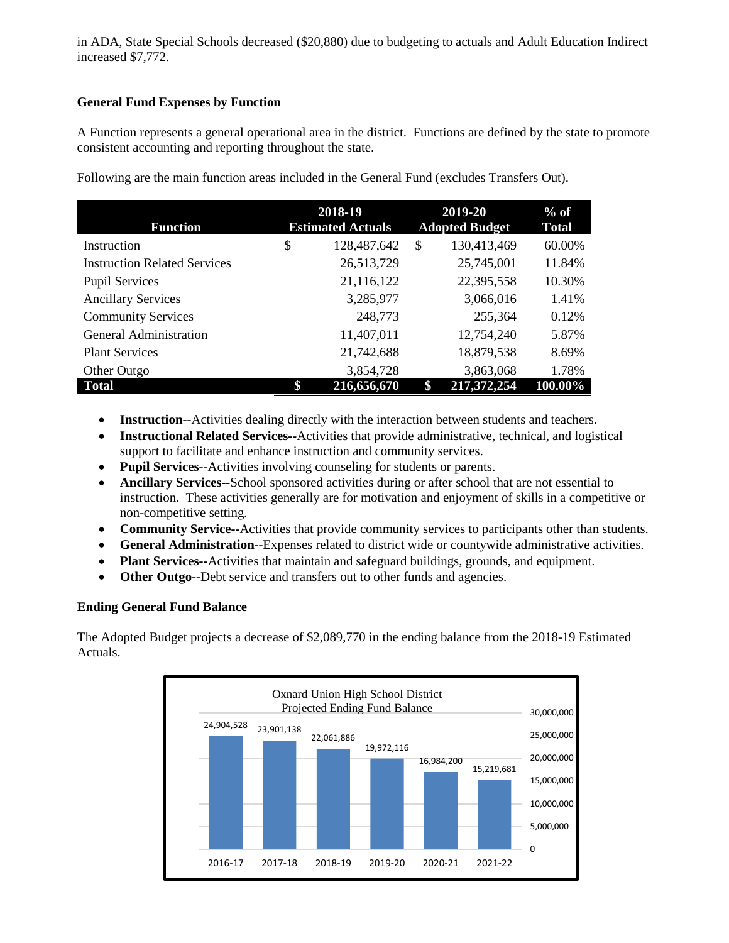in ADA, State Special Schools decreased (\$20,880) due to budgeting to actuals and Adult Education Indirect increased \$7,772.

# **General Fund Expenses by Function**

A Function represents a general operational area in the district. Functions are defined by the state to promote consistent accounting and reporting throughout the state.

| <b>Function</b>                     | 2018-19<br><b>Estimated Actuals</b> | 2019-20<br><b>Adopted Budget</b> | $%$ of<br><b>Total</b> |
|-------------------------------------|-------------------------------------|----------------------------------|------------------------|
| Instruction                         | \$<br>128,487,642                   | \$<br>130,413,469                | 60.00%                 |
| <b>Instruction Related Services</b> | 26,513,729                          | 25,745,001                       | 11.84%                 |
| <b>Pupil Services</b>               | 21,116,122                          | 22,395,558                       | 10.30%                 |
| <b>Ancillary Services</b>           | 3,285,977                           | 3,066,016                        | 1.41%                  |
| <b>Community Services</b>           | 248,773                             | 255,364                          | 0.12%                  |
| General Administration              | 11,407,011                          | 12,754,240                       | 5.87%                  |
| <b>Plant Services</b>               | 21,742,688                          | 18,879,538                       | 8.69%                  |
| Other Outgo                         | 3,854,728                           | 3,863,068                        | 1.78%                  |
| <b>Total</b>                        | \$<br>216,656,670                   | \$<br>217,372,254                | 100.00%                |

Following are the main function areas included in the General Fund (excludes Transfers Out).

- **Instruction--**Activities dealing directly with the interaction between students and teachers.
- **Instructional Related Services--**Activities that provide administrative, technical, and logistical support to facilitate and enhance instruction and community services.
- **Pupil Services--**Activities involving counseling for students or parents.
- **Ancillary Services--**School sponsored activities during or after school that are not essential to instruction. These activities generally are for motivation and enjoyment of skills in a competitive or non-competitive setting.
- **Community Service--**Activities that provide community services to participants other than students.
- **General Administration--**Expenses related to district wide or countywide administrative activities.
- **Plant Services--**Activities that maintain and safeguard buildings, grounds, and equipment.
- **Other Outgo--**Debt service and transfers out to other funds and agencies.

### **Ending General Fund Balance**

The Adopted Budget projects a decrease of \$2,089,770 in the ending balance from the 2018-19 Estimated Actuals.

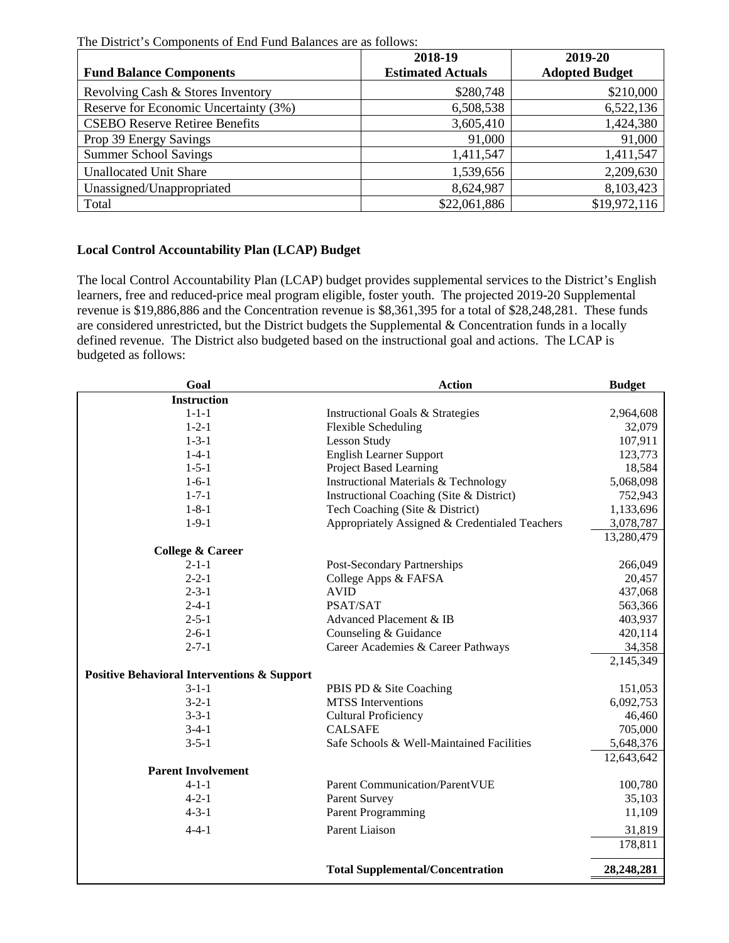The District's Components of End Fund Balances are as follows:

|                                       | 2018-19                  | 2019-20               |
|---------------------------------------|--------------------------|-----------------------|
| <b>Fund Balance Components</b>        | <b>Estimated Actuals</b> | <b>Adopted Budget</b> |
| Revolving Cash & Stores Inventory     | \$280,748                | \$210,000             |
| Reserve for Economic Uncertainty (3%) | 6,508,538                | 6,522,136             |
| <b>CSEBO Reserve Retiree Benefits</b> | 3,605,410                | 1,424,380             |
| Prop 39 Energy Savings                | 91,000                   | 91,000                |
| <b>Summer School Savings</b>          | 1,411,547                | 1,411,547             |
| <b>Unallocated Unit Share</b>         | 1,539,656                | 2,209,630             |
| Unassigned/Unappropriated             | 8,624,987                | 8,103,423             |
| Total                                 | \$22,061,886             | \$19,972,116          |

# **Local Control Accountability Plan (LCAP) Budget**

The local Control Accountability Plan (LCAP) budget provides supplemental services to the District's English learners, free and reduced-price meal program eligible, foster youth. The projected 2019-20 Supplemental revenue is \$19,886,886 and the Concentration revenue is \$8,361,395 for a total of \$28,248,281. These funds are considered unrestricted, but the District budgets the Supplemental & Concentration funds in a locally defined revenue. The District also budgeted based on the instructional goal and actions. The LCAP is budgeted as follows:

| Goal                                                   | <b>Action</b>                                  | <b>Budget</b> |
|--------------------------------------------------------|------------------------------------------------|---------------|
| <b>Instruction</b>                                     |                                                |               |
| $1 - 1 - 1$                                            | Instructional Goals & Strategies               | 2,964,608     |
| $1 - 2 - 1$                                            | <b>Flexible Scheduling</b>                     | 32,079        |
| $1 - 3 - 1$                                            | <b>Lesson Study</b>                            | 107,911       |
| $1 - 4 - 1$                                            | <b>English Learner Support</b>                 | 123,773       |
| $1 - 5 - 1$                                            | <b>Project Based Learning</b>                  | 18,584        |
| $1 - 6 - 1$                                            | Instructional Materials & Technology           | 5,068,098     |
| $1 - 7 - 1$                                            | Instructional Coaching (Site & District)       | 752,943       |
| $1 - 8 - 1$                                            | Tech Coaching (Site & District)                | 1,133,696     |
| $1 - 9 - 1$                                            | Appropriately Assigned & Credentialed Teachers | 3,078,787     |
|                                                        |                                                | 13,280,479    |
| <b>College &amp; Career</b>                            |                                                |               |
| $2 - 1 - 1$                                            | Post-Secondary Partnerships                    | 266,049       |
| $2 - 2 - 1$                                            | College Apps & FAFSA                           | 20,457        |
| $2 - 3 - 1$                                            | <b>AVID</b>                                    | 437,068       |
| $2 - 4 - 1$                                            | PSAT/SAT                                       | 563,366       |
| $2 - 5 - 1$                                            | Advanced Placement & IB                        | 403,937       |
| $2 - 6 - 1$                                            | Counseling & Guidance                          | 420,114       |
| $2 - 7 - 1$                                            | Career Academies & Career Pathways             | 34,358        |
|                                                        |                                                | 2,145,349     |
| <b>Positive Behavioral Interventions &amp; Support</b> |                                                |               |
| $3 - 1 - 1$                                            | PBIS PD & Site Coaching                        | 151,053       |
| $3 - 2 - 1$                                            | <b>MTSS</b> Interventions                      | 6,092,753     |
| $3 - 3 - 1$                                            | <b>Cultural Proficiency</b>                    | 46,460        |
| $3-4-1$                                                | <b>CALSAFE</b>                                 | 705,000       |
| $3 - 5 - 1$                                            | Safe Schools & Well-Maintained Facilities      | 5,648,376     |
|                                                        |                                                | 12,643,642    |
| <b>Parent Involvement</b>                              |                                                |               |
| $4 - 1 - 1$                                            | <b>Parent Communication/ParentVUE</b>          | 100,780       |
| $4 - 2 - 1$                                            | Parent Survey                                  | 35,103        |
| $4 - 3 - 1$                                            | <b>Parent Programming</b>                      | 11,109        |
| $4 - 4 - 1$                                            | <b>Parent Liaison</b>                          | 31,819        |
|                                                        |                                                | 178,811       |
|                                                        | <b>Total Supplemental/Concentration</b>        | 28,248,281    |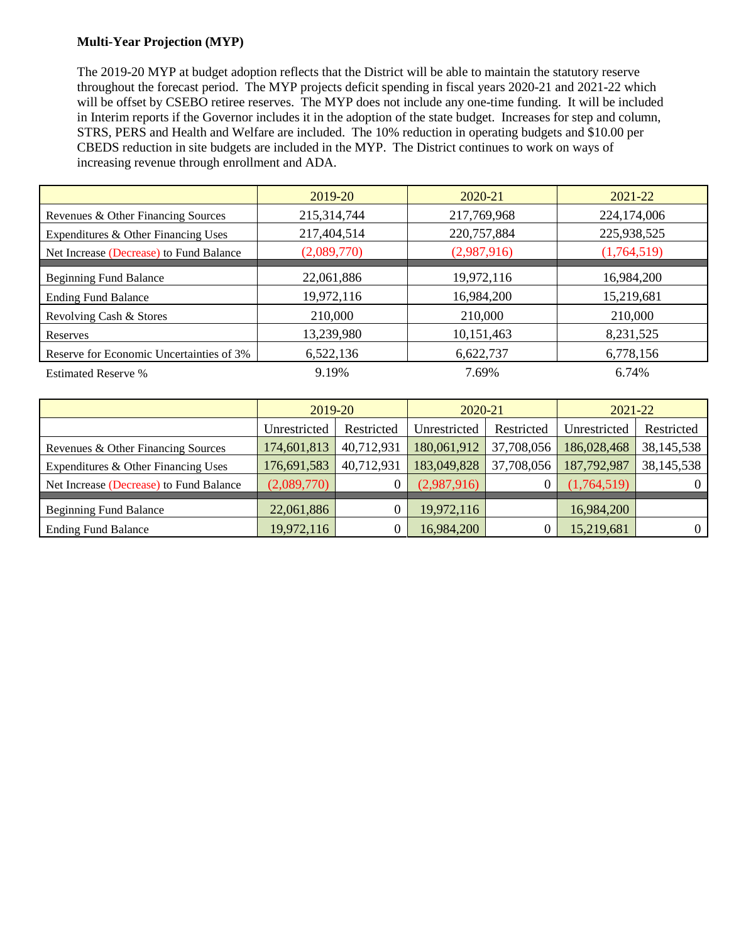## **Multi-Year Projection (MYP)**

The 2019-20 MYP at budget adoption reflects that the District will be able to maintain the statutory reserve throughout the forecast period. The MYP projects deficit spending in fiscal years 2020-21 and 2021-22 which will be offset by CSEBO retiree reserves. The MYP does not include any one-time funding. It will be included in Interim reports if the Governor includes it in the adoption of the state budget. Increases for step and column, STRS, PERS and Health and Welfare are included. The 10% reduction in operating budgets and \$10.00 per CBEDS reduction in site budgets are included in the MYP. The District continues to work on ways of increasing revenue through enrollment and ADA.

|                                          | 2019-20     | 2020-21     | 2021-22     |
|------------------------------------------|-------------|-------------|-------------|
| Revenues & Other Financing Sources       | 215,314,744 | 217,769,968 | 224,174,006 |
| Expenditures & Other Financing Uses      | 217,404,514 | 220,757,884 | 225,938,525 |
| Net Increase (Decrease) to Fund Balance  | (2,089,770) | (2,987,916) | (1,764,519) |
| <b>Beginning Fund Balance</b>            | 22,061,886  | 19,972,116  | 16,984,200  |
| <b>Ending Fund Balance</b>               | 19,972,116  | 16,984,200  | 15,219,681  |
| Revolving Cash & Stores                  | 210,000     | 210,000     | 210,000     |
| Reserves                                 | 13,239,980  | 10,151,463  | 8,231,525   |
| Reserve for Economic Uncertainties of 3% | 6,522,136   | 6,622,737   | 6,778,156   |
| <b>Estimated Reserve %</b>               | 9.19%       | 7.69%       | 6.74%       |

|                                         | 2019-20      |            | 2020-21      |            | 2021-22      |              |
|-----------------------------------------|--------------|------------|--------------|------------|--------------|--------------|
|                                         | Unrestricted | Restricted | Unrestricted | Restricted | Unrestricted | Restricted   |
| Revenues & Other Financing Sources      | 174,601,813  | 40,712,931 | 180,061,912  | 37,708,056 | 186,028,468  | 38, 145, 538 |
| Expenditures & Other Financing Uses     | 176,691,583  | 40,712,931 | 183,049,828  | 37,708,056 | 187,792,987  | 38, 145, 538 |
| Net Increase (Decrease) to Fund Balance | (2,089,770)  | 0          | (2,987,916)  |            | (1,764,519)  | $\theta$     |
| <b>Beginning Fund Balance</b>           | 22,061,886   | 0          | 19,972,116   |            | 16,984,200   |              |
| <b>Ending Fund Balance</b>              | 19,972,116   | 0          | 16,984,200   |            | 15,219,681   | $\Omega$     |